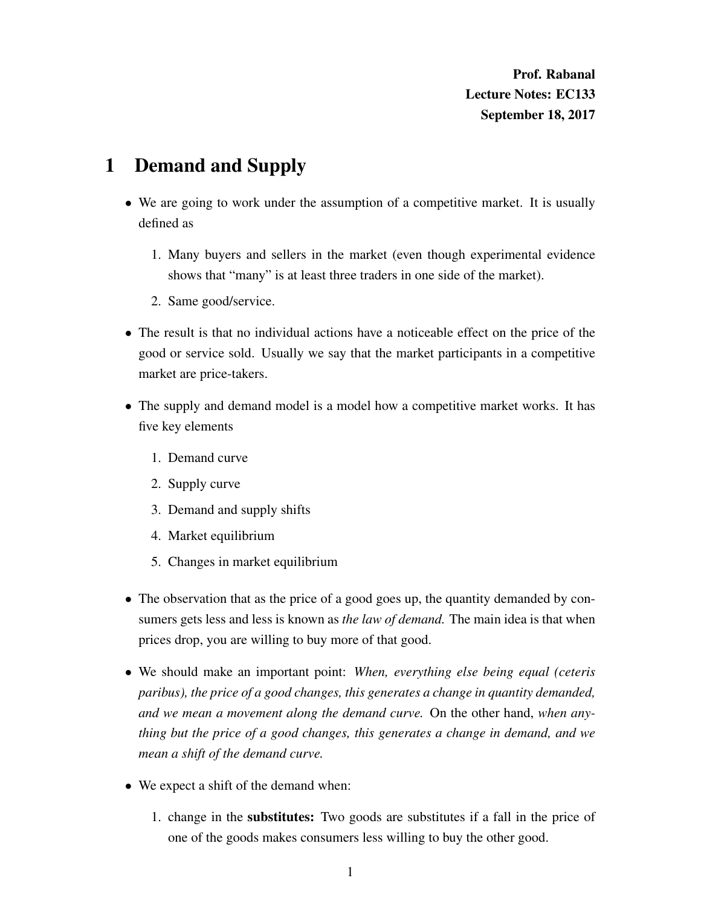Prof. Rabanal Lecture Notes: EC133 September 18, 2017

## 1 Demand and Supply

- We are going to work under the assumption of a competitive market. It is usually defined as
	- 1. Many buyers and sellers in the market (even though experimental evidence shows that "many" is at least three traders in one side of the market).
	- 2. Same good/service.
- The result is that no individual actions have a noticeable effect on the price of the good or service sold. Usually we say that the market participants in a competitive market are price-takers.
- The supply and demand model is a model how a competitive market works. It has five key elements
	- 1. Demand curve
	- 2. Supply curve
	- 3. Demand and supply shifts
	- 4. Market equilibrium
	- 5. Changes in market equilibrium
- The observation that as the price of a good goes up, the quantity demanded by consumers gets less and less is known as *the law of demand.* The main idea is that when prices drop, you are willing to buy more of that good.
- We should make an important point: *When, everything else being equal (ceteris paribus), the price of a good changes, this generates a change in quantity demanded, and we mean a movement along the demand curve.* On the other hand, *when anything but the price of a good changes, this generates a change in demand, and we mean a shift of the demand curve.*
- We expect a shift of the demand when:
	- 1. change in the substitutes: Two goods are substitutes if a fall in the price of one of the goods makes consumers less willing to buy the other good.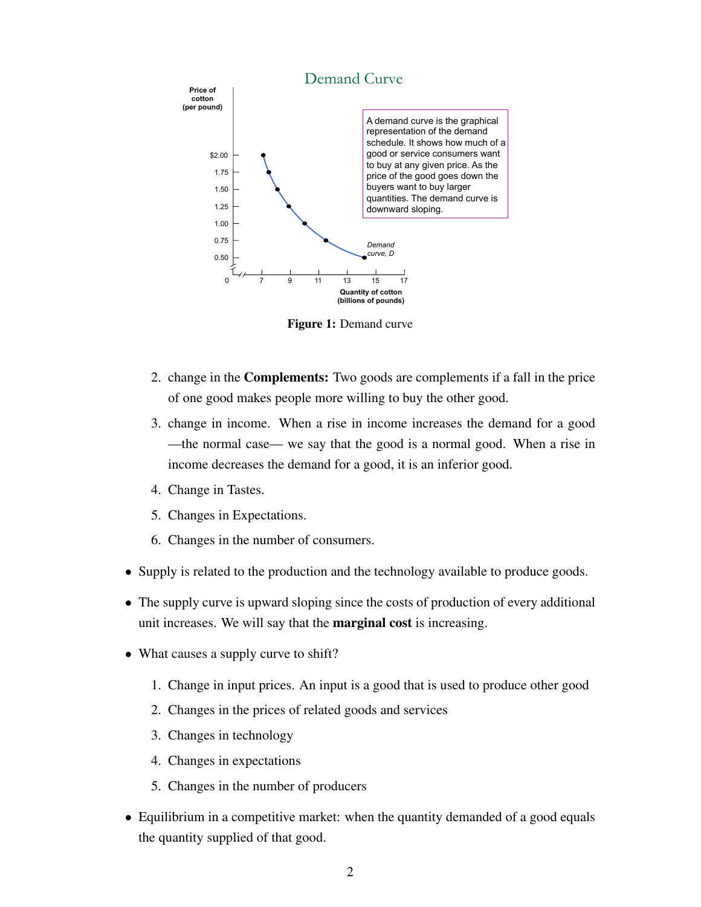

Figure 1: Demand curve

- 2. change in the Complements: Two goods are complements if a fall in the price of one good makes people more willing to buy the other good.
- 3. change in income. When a rise in income increases the demand for a good —the normal case— we say that the good is a normal good. When a rise in income decreases the demand for a good, it is an inferior good.
- 4. Change in Tastes.
- 5. Changes in Expectations.
- 6. Changes in the number of consumers.
- Supply is related to the production and the technology available to produce goods.
- The supply curve is upward sloping since the costs of production of every additional unit increases. We will say that the marginal cost is increasing.
- What causes a supply curve to shift?
	- 1. Change in input prices. An input is a good that is used to produce other good
	- 2. Changes in the prices of related goods and services
	- 3. Changes in technology
	- 4. Changes in expectations
	- 5. Changes in the number of producers
- Equilibrium in a competitive market: when the quantity demanded of a good equals the quantity supplied of that good.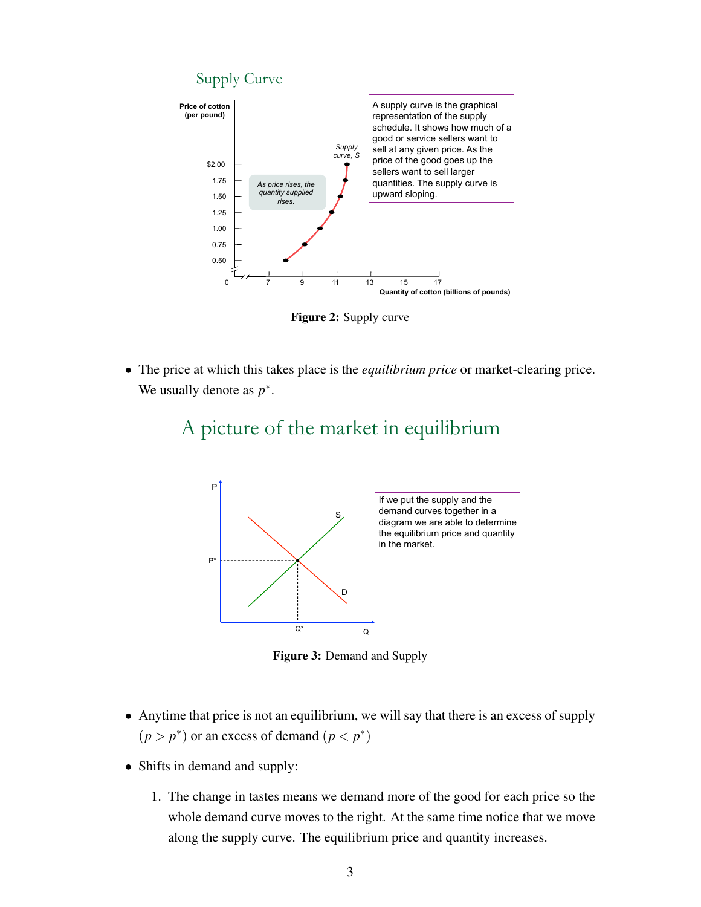

Figure 2: Supply curve

• The price at which this takes place is the *equilibrium price* or market-clearing price. We usually denote as  $p^*$ .



## A picture of the market in equilibrium

Figure 3: Demand and Supply

- Anytime that price is not an equilibrium, we will say that there is an excess of supply  $(p > p^*)$  or an excess of demand  $(p < p^*)$
- Shifts in demand and supply:
	- 1. The change in tastes means we demand more of the good for each price so the whole demand curve moves to the right. At the same time notice that we move along the supply curve. The equilibrium price and quantity increases.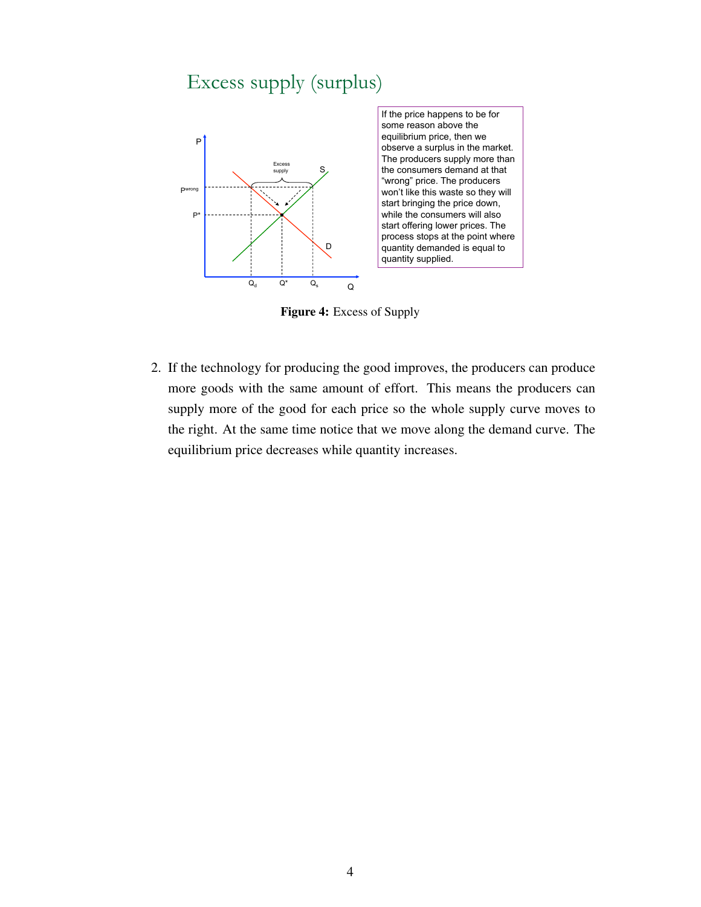## Excess supply (surplus)



Figure 4: Excess of Supply

2. If the technology for producing the good improves, the producers can produce more goods with the same amount of effort. This means the producers can supply more of the good for each price so the whole supply curve moves to the right. At the same time notice that we move along the demand curve. The equilibrium price decreases while quantity increases.